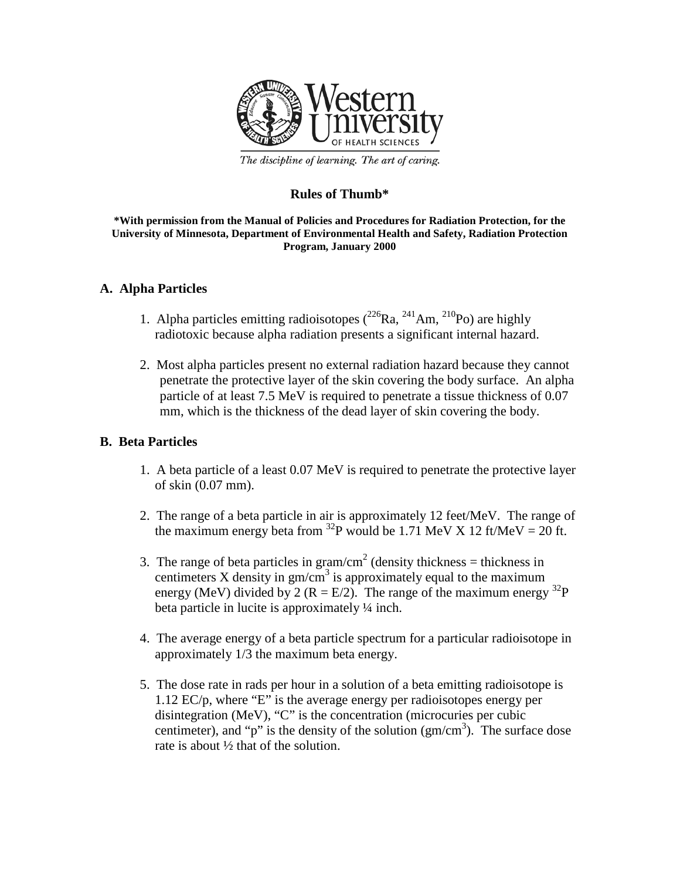

The discipline of learning. The art of caring.

## **Rules of Thumb\***

#### **\*With permission from the Manual of Policies and Procedures for Radiation Protection, for the University of Minnesota, Department of Environmental Health and Safety, Radiation Protection Program, January 2000**

### **A. Alpha Particles**

- 1. Alpha particles emitting radioisotopes  $(^{226}Ra, ^{241}Am, ^{210}Po)$  are highly radiotoxic because alpha radiation presents a significant internal hazard.
- 2. Most alpha particles present no external radiation hazard because they cannot penetrate the protective layer of the skin covering the body surface. An alpha particle of at least 7.5 MeV is required to penetrate a tissue thickness of 0.07 mm, which is the thickness of the dead layer of skin covering the body.

### **B. Beta Particles**

- 1. A beta particle of a least 0.07 MeV is required to penetrate the protective layer of skin (0.07 mm).
- 2. The range of a beta particle in air is approximately 12 feet/MeV. The range of the maximum energy beta from <sup>32</sup>P would be 1.71 MeV X 12 ft/MeV = 20 ft.
- 3. The range of beta particles in gram/cm<sup>2</sup> (density thickness = thickness in centimeters X density in  $\text{gm/cm}^3$  is approximately equal to the maximum energy (MeV) divided by 2 (R = E/2). The range of the maximum energy  $^{32}P$ beta particle in lucite is approximately ¼ inch.
- 4. The average energy of a beta particle spectrum for a particular radioisotope in approximately 1/3 the maximum beta energy.
- 5. The dose rate in rads per hour in a solution of a beta emitting radioisotope is 1.12 EC/p, where "E" is the average energy per radioisotopes energy per disintegration (MeV), "C" is the concentration (microcuries per cubic centimeter), and "p" is the density of the solution  $(gm/cm<sup>3</sup>)$ . The surface dose rate is about ½ that of the solution.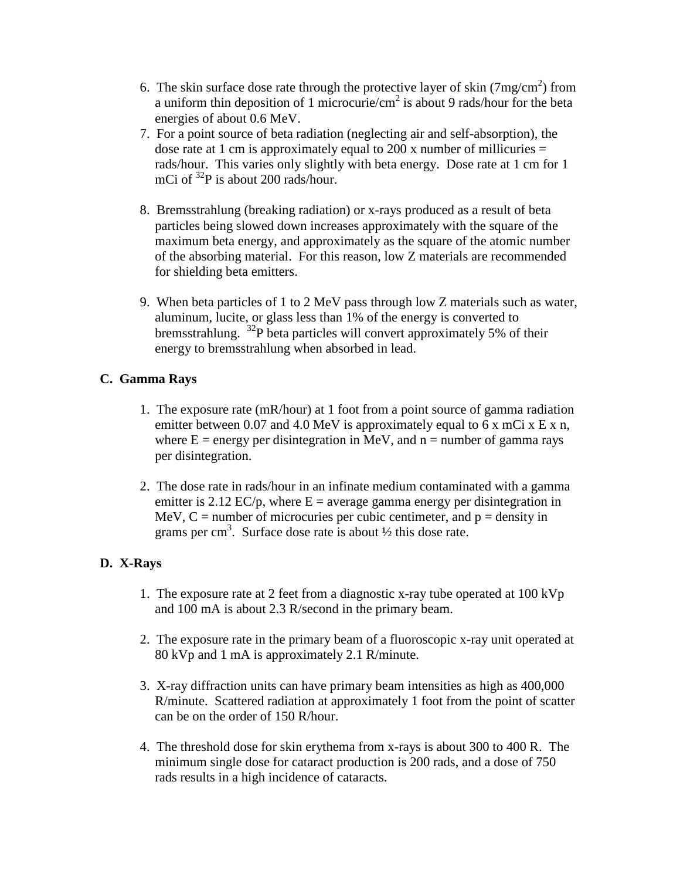- 6. The skin surface dose rate through the protective layer of skin  $(7mg/cm^2)$  from a uniform thin deposition of 1 microcurie/ $\text{cm}^2$  is about 9 rads/hour for the beta energies of about 0.6 MeV.
- 7. For a point source of beta radiation (neglecting air and self-absorption), the dose rate at 1 cm is approximately equal to 200 x number of millicuries  $=$ rads/hour. This varies only slightly with beta energy. Dose rate at 1 cm for 1 mCi of <sup>32</sup>P is about 200 rads/hour.
- 8. Bremsstrahlung (breaking radiation) or x-rays produced as a result of beta particles being slowed down increases approximately with the square of the maximum beta energy, and approximately as the square of the atomic number of the absorbing material. For this reason, low Z materials are recommended for shielding beta emitters.
- 9. When beta particles of 1 to 2 MeV pass through low Z materials such as water, aluminum, lucite, or glass less than 1% of the energy is converted to bremsstrahlung. <sup>32</sup>P beta particles will convert approximately 5% of their energy to bremsstrahlung when absorbed in lead.

## **C. Gamma Rays**

- 1. The exposure rate (mR/hour) at 1 foot from a point source of gamma radiation emitter between 0.07 and 4.0 MeV is approximately equal to 6 x mCi x E x n, where  $E =$  energy per disintegration in MeV, and  $n =$  number of gamma rays per disintegration.
- 2. The dose rate in rads/hour in an infinate medium contaminated with a gamma emitter is 2.12 EC/p, where  $E =$  average gamma energy per disintegration in MeV,  $C =$  number of microcuries per cubic centimeter, and  $p =$  density in grams per cm<sup>3</sup>. Surface dose rate is about  $\frac{1}{2}$  this dose rate.

# **D. X-Rays**

- 1. The exposure rate at 2 feet from a diagnostic x-ray tube operated at 100 kVp and 100 mA is about 2.3 R/second in the primary beam.
- 2. The exposure rate in the primary beam of a fluoroscopic x-ray unit operated at 80 kVp and 1 mA is approximately 2.1 R/minute.
- 3. X-ray diffraction units can have primary beam intensities as high as 400,000 R/minute. Scattered radiation at approximately 1 foot from the point of scatter can be on the order of 150 R/hour.
- 4. The threshold dose for skin erythema from x-rays is about 300 to 400 R. The minimum single dose for cataract production is 200 rads, and a dose of 750 rads results in a high incidence of cataracts.